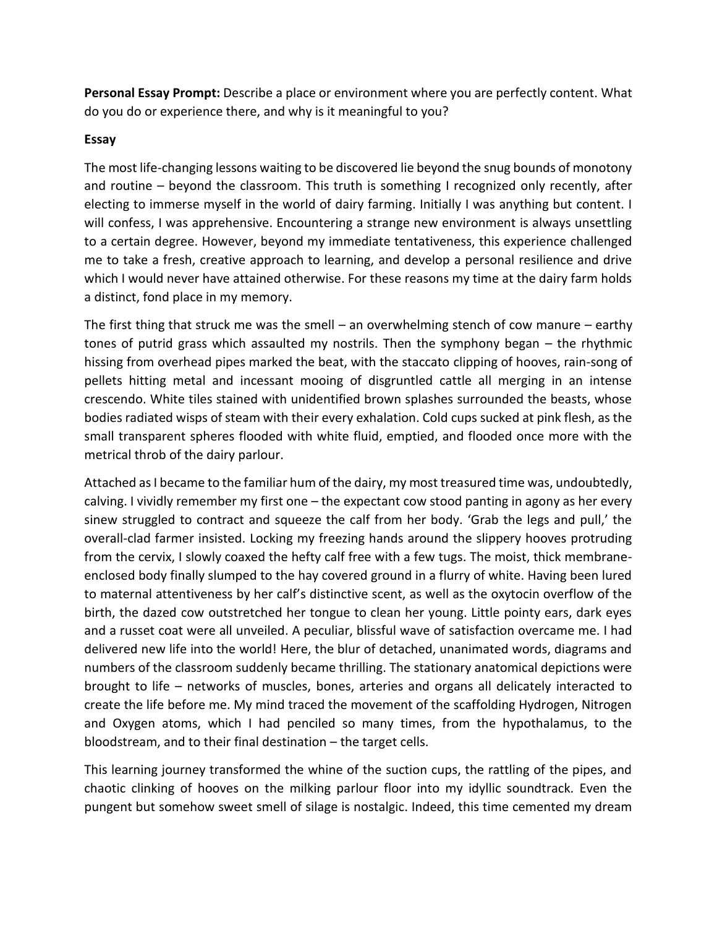**Personal Essay Prompt:** Describe a place or environment where you are perfectly content. What do you do or experience there, and why is it meaningful to you?

## **Essay**

The most life-changing lessons waiting to be discovered lie beyond the snug bounds of monotony and routine – beyond the classroom. This truth is something I recognized only recently, after electing to immerse myself in the world of dairy farming. Initially I was anything but content. I will confess, I was apprehensive. Encountering a strange new environment is always unsettling to a certain degree. However, beyond my immediate tentativeness, this experience challenged me to take a fresh, creative approach to learning, and develop a personal resilience and drive which I would never have attained otherwise. For these reasons my time at the dairy farm holds a distinct, fond place in my memory.

The first thing that struck me was the smell – an overwhelming stench of cow manure – earthy tones of putrid grass which assaulted my nostrils. Then the symphony began – the rhythmic hissing from overhead pipes marked the beat, with the staccato clipping of hooves, rain-song of pellets hitting metal and incessant mooing of disgruntled cattle all merging in an intense crescendo. White tiles stained with unidentified brown splashes surrounded the beasts, whose bodies radiated wisps of steam with their every exhalation. Cold cups sucked at pink flesh, as the small transparent spheres flooded with white fluid, emptied, and flooded once more with the metrical throb of the dairy parlour.

Attached as I became to the familiar hum of the dairy, my most treasured time was, undoubtedly, calving. I vividly remember my first one – the expectant cow stood panting in agony as her every sinew struggled to contract and squeeze the calf from her body. 'Grab the legs and pull,' the overall-clad farmer insisted. Locking my freezing hands around the slippery hooves protruding from the cervix, I slowly coaxed the hefty calf free with a few tugs. The moist, thick membraneenclosed body finally slumped to the hay covered ground in a flurry of white. Having been lured to maternal attentiveness by her calf's distinctive scent, as well as the oxytocin overflow of the birth, the dazed cow outstretched her tongue to clean her young. Little pointy ears, dark eyes and a russet coat were all unveiled. A peculiar, blissful wave of satisfaction overcame me. I had delivered new life into the world! Here, the blur of detached, unanimated words, diagrams and numbers of the classroom suddenly became thrilling. The stationary anatomical depictions were brought to life – networks of muscles, bones, arteries and organs all delicately interacted to create the life before me. My mind traced the movement of the scaffolding Hydrogen, Nitrogen and Oxygen atoms, which I had penciled so many times, from the hypothalamus, to the bloodstream, and to their final destination – the target cells.

This learning journey transformed the whine of the suction cups, the rattling of the pipes, and chaotic clinking of hooves on the milking parlour floor into my idyllic soundtrack. Even the pungent but somehow sweet smell of silage is nostalgic. Indeed, this time cemented my dream